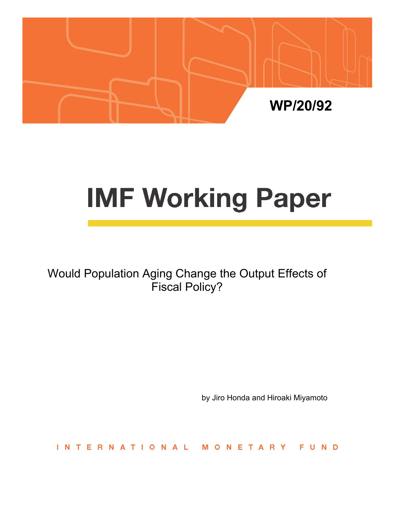

# **IMF Working Paper**

Would Population Aging Change the Output Effects of Fiscal Policy?

by Jiro Honda and Hiroaki Miyamoto

INTERNATIONAL MONETARY FUND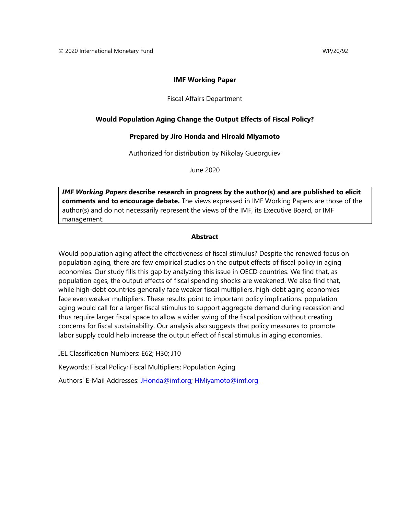## **IMF Working Paper**

#### Fiscal Affairs Department

## **Would Population Aging Change the Output Effects of Fiscal Policy?**

#### **Prepared by Jiro Honda and Hiroaki Miyamoto**

Authorized for distribution by Nikolay Gueorguiev

June 2020

*IMF Working Papers* **describe research in progress by the author(s) and are published to elicit comments and to encourage debate.** The views expressed in IMF Working Papers are those of the author(s) and do not necessarily represent the views of the IMF, its Executive Board, or IMF management.

#### **Abstract**

Would population aging affect the effectiveness of fiscal stimulus? Despite the renewed focus on population aging, there are few empirical studies on the output effects of fiscal policy in aging economies. Our study fills this gap by analyzing this issue in OECD countries. We find that, as population ages, the output effects of fiscal spending shocks are weakened. We also find that, while high-debt countries generally face weaker fiscal multipliers, high-debt aging economies face even weaker multipliers. These results point to important policy implications: population aging would call for a larger fiscal stimulus to support aggregate demand during recession and thus require larger fiscal space to allow a wider swing of the fiscal position without creating concerns for fiscal sustainability. Our analysis also suggests that policy measures to promote labor supply could help increase the output effect of fiscal stimulus in aging economies.

JEL Classification Numbers: E62; H30; J10

Keywords: Fiscal Policy; Fiscal Multipliers; Population Aging

Authors' E-Mail Addresses: [JHonda@imf.org;](mailto:JHonda@imf.org) [HMiyamoto@imf.org](mailto:HMiyamoto@imf.org)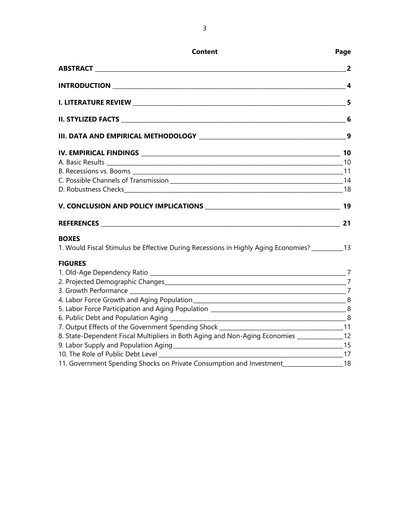| <b>Content</b>                                                                                 | Page |
|------------------------------------------------------------------------------------------------|------|
|                                                                                                |      |
|                                                                                                |      |
|                                                                                                |      |
|                                                                                                |      |
|                                                                                                |      |
|                                                                                                |      |
|                                                                                                |      |
|                                                                                                |      |
|                                                                                                |      |
|                                                                                                |      |
|                                                                                                |      |
|                                                                                                |      |
| <b>BOXES</b>                                                                                   |      |
| 1. Would Fiscal Stimulus be Effective During Recessions in Highly Aging Economies? _________13 |      |
| <b>FIGURES</b>                                                                                 |      |
|                                                                                                |      |
|                                                                                                |      |
|                                                                                                |      |
|                                                                                                |      |
|                                                                                                |      |
|                                                                                                |      |
|                                                                                                |      |
| 8. State-Dependent Fiscal Multipliers in Both Aging and Non-Aging Economies _______________12  |      |
|                                                                                                |      |
|                                                                                                |      |
| 11. Government Spending Shocks on Private Consumption and Investment_____________              | -18  |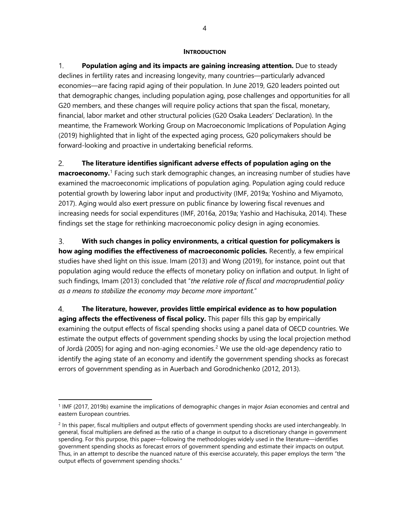#### **INTRODUCTION**

 $1<sup>1</sup>$ **Population aging and its impacts are gaining increasing attention.** Due to steady declines in fertility rates and increasing longevity, many countries—particularly advanced economies—are facing rapid aging of their population. In June 2019, G20 leaders pointed out that demographic changes, including population aging, pose challenges and opportunities for all G20 members, and these changes will require policy actions that span the fiscal, monetary, financial, labor market and other structural policies (G20 Osaka Leaders' Declaration). In the meantime, the Framework Working Group on Macroeconomic Implications of Population Aging (2019) highlighted that in light of the expected aging process, G20 policymakers should be forward-looking and proactive in undertaking beneficial reforms.

2. **The literature identifies significant adverse effects of population aging on the macroeconomy.** [1](#page-3-0) Facing such stark demographic changes, an increasing number of studies have examined the macroeconomic implications of population aging. Population aging could reduce potential growth by lowering labor input and productivity (IMF, 2019a; Yoshino and Miyamoto, 2017). Aging would also exert pressure on public finance by lowering fiscal revenues and increasing needs for social expenditures (IMF, 2016a, 2019a; Yashio and Hachisuka, 2014). These findings set the stage for rethinking macroeconomic policy design in aging economies.

**With such changes in policy environments, a critical question for policymakers is**  $3.$ **how aging modifies the effectiveness of macroeconomic policies***.* Recently, a few empirical studies have shed light on this issue. Imam (2013) and Wong (2019), for instance, point out that population aging would reduce the effects of monetary policy on inflation and output. In light of such findings, Imam (2013) concluded that "*the relative role of fiscal and macroprudential policy as a means to stabilize the economy may become more important.*"

 $\overline{4}$ . **The literature, however, provides little empirical evidence as to how population aging affects the effectiveness of fiscal policy.** This paper fills this gap by empirically examining the output effects of fiscal spending shocks using a panel data of OECD countries. We estimate the output effects of government spending shocks by using the local projection method of Jordà ([2](#page-3-1)005) for aging and non-aging economies.<sup>2</sup> We use the old-age dependency ratio to identify the aging state of an economy and identify the government spending shocks as forecast errors of government spending as in Auerbach and Gorodnichenko (2012, 2013).

<span id="page-3-0"></span><sup>1</sup> IMF (2017, 2019b) examine the implications of demographic changes in major Asian economies and central and eastern European countries.

<span id="page-3-1"></span> $2$  In this paper, fiscal multipliers and output effects of government spending shocks are used interchangeably. In general, fiscal multipliers are defined as the ratio of a change in output to a discretionary change in government spending. For this purpose, this paper—following the methodologies widely used in the literature—identifies government spending shocks as forecast errors of government spending and estimate their impacts on output. Thus, in an attempt to describe the nuanced nature of this exercise accurately, this paper employs the term "the output effects of government spending shocks."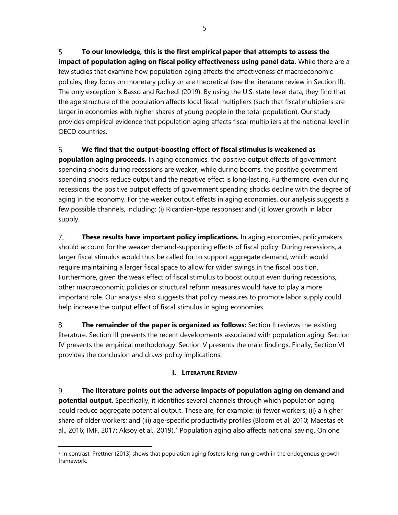5. **To our knowledge, this is the first empirical paper that attempts to assess the impact of population aging on fiscal policy effectiveness using panel data.** While there are a few studies that examine how population aging affects the effectiveness of macroeconomic policies, they focus on monetary policy or are theoretical (see the literature review in Section II). The only exception is Basso and Rachedi (2019). By using the U.S. state-level data, they find that the age structure of the population affects local fiscal multipliers (such that fiscal multipliers are larger in economies with higher shares of young people in the total population). Our study provides empirical evidence that population aging affects fiscal multipliers at the national level in OECD countries.

#### 6. **We find that the output-boosting effect of fiscal stimulus is weakened as**

**population aging proceeds.** In aging economies, the positive output effects of government spending shocks during recessions are weaker, while during booms, the positive government spending shocks reduce output and the negative effect is long-lasting. Furthermore, even during recessions, the positive output effects of government spending shocks decline with the degree of aging in the economy. For the weaker output effects in aging economies, our analysis suggests a few possible channels, including: (i) Ricardian-type responses; and (ii) lower growth in labor supply.

 $7<sup>1</sup>$ **These results have important policy implications.** In aging economies, policymakers should account for the weaker demand-supporting effects of fiscal policy. During recessions, a larger fiscal stimulus would thus be called for to support aggregate demand, which would require maintaining a larger fiscal space to allow for wider swings in the fiscal position. Furthermore, given the weak effect of fiscal stimulus to boost output even during recessions, other macroeconomic policies or structural reform measures would have to play a more important role. Our analysis also suggests that policy measures to promote labor supply could help increase the output effect of fiscal stimulus in aging economies.

8. **The remainder of the paper is organized as follows:** Section II reviews the existing literature. Section III presents the recent developments associated with population aging. Section IV presents the empirical methodology. Section V presents the main findings. Finally, Section VI provides the conclusion and draws policy implications.

# **I. LITERATURE REVIEW**

9. **The literature points out the adverse impacts of population aging on demand and potential output.** Specifically, it identifies several channels through which population aging could reduce aggregate potential output. These are, for example: (i) fewer workers; (ii) a higher share of older workers; and (iii) age-specific productivity profiles (Bloom et al. 2010; Maestas et al., 2016; IMF, 2017; Aksoy et al., 2019).<sup>[3](#page-4-0)</sup> Population aging also affects national saving. On one

<span id="page-4-0"></span><sup>&</sup>lt;sup>3</sup> In contrast, Prettner (2013) shows that population aging fosters long-run growth in the endogenous growth framework.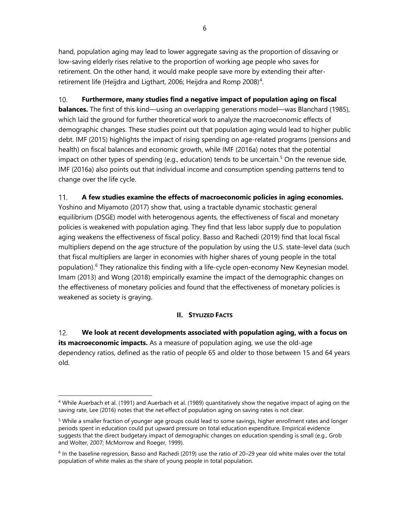hand, population aging may lead to lower aggregate saving as the proportion of dissaving or low-saving elderly rises relative to the proportion of working age people who saves for retirement. On the other hand, it would make people save more by extending their after-retirement life (Heijdra and Ligthart, 2006; Heijdra and Romp 2008)<sup>[4](#page-5-0)</sup>.

 $10.$ **Furthermore, many studies find a negative impact of population aging on fiscal balances.** The first of this kind—using an overlapping generations model—was Blanchard (1985), which laid the ground for further theoretical work to analyze the macroeconomic effects of demographic changes. These studies point out that population aging would lead to higher public debt. IMF (2015) highlights the impact of rising spending on age-related programs (pensions and health) on fiscal balances and economic growth, while IMF (2016a) notes that the potential impact on other types of spending (e.g., education) tends to be uncertain.<sup>[5](#page-5-1)</sup> On the revenue side, IMF (2016a) also points out that individual income and consumption spending patterns tend to change over the life cycle.

#### $11.$ **A few studies examine the effects of macroeconomic policies in aging economies.**

Yoshino and Miyamoto (2017) show that, using a tractable dynamic stochastic general equilibrium (DSGE) model with heterogenous agents, the effectiveness of fiscal and monetary policies is weakened with population aging. They find that less labor supply due to population aging weakens the effectiveness of fiscal policy. Basso and Rachedi (2019) find that local fiscal multipliers depend on the age structure of the population by using the U.S. state-level data (such that fiscal multipliers are larger in economies with higher shares of young people in the total population).<sup>[6](#page-5-2)</sup> They rationalize this finding with a life-cycle open-economy New Keynesian model. Imam (2013) and Wong (2018) empirically examine the impact of the demographic changes on the effectiveness of monetary policies and found that the effectiveness of monetary policies is weakened as society is graying.

## **II. STYLIZED FACTS**

 $12.$ **We look at recent developments associated with population aging, with a focus on its macroeconomic impacts.** As a measure of population aging, we use the old-age dependency ratios, defined as the ratio of people 65 and older to those between 15 and 64 years old.

<span id="page-5-0"></span><sup>4</sup> While Auerbach et al. (1991) and Auerbach et al. (1989) quantitatively show the negative impact of aging on the saving rate, Lee (2016) notes that the net effect of population aging on saving rates is not clear.

<span id="page-5-1"></span><sup>&</sup>lt;sup>5</sup> While a smaller fraction of younger age groups could lead to some savings, higher enrollment rates and longer periods spent in education could put upward pressure on total education expenditure. Empirical evidence suggests that the direct budgetary impact of demographic changes on education spending is small (e.g., Grob and Wolter, 2007; McMorrow and Roeger, 1999).

<span id="page-5-2"></span> $6$  In the baseline regression, Basso and Rachedi (2019) use the ratio of 20–29 year old white males over the total population of white males as the share of young people in total population.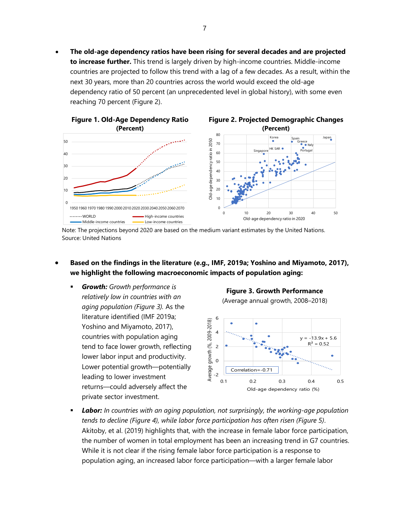• **The old-age dependency ratios have been rising for several decades and are projected to increase further.** This trend is largely driven by high-income countries. Middle-income countries are projected to follow this trend with a lag of a few decades. As a result, within the next 30 years, more than 20 countries across the world would exceed the old-age dependency ratio of 50 percent (an unprecedented level in global history), with some even reaching 70 percent (Figure 2).



Note: The projections beyond 2020 are based on the medium variant estimates by the United Nations. Source: United Nations

- **Based on the findings in the literature (e.g., IMF, 2019a; Yoshino and Miyamoto, 2017), we highlight the following macroeconomic impacts of population aging:**
	- *Growth: Growth performance is relatively low in countries with an aging population (Figure 3).* As the literature identified (IMF 2019a; Yoshino and Miyamoto, 2017), countries with population aging tend to face lower growth, reflecting lower labor input and productivity. Lower potential growth—potentially leading to lower investment returns—could adversely affect the private sector investment.

**Figure 3. Growth Performance**

(Average annual growth, 2008–2018)



 *Labor: In countries with an aging population, not surprisingly, the working-age population tends to decline (Figure 4), while labor force participation has often risen (Figure 5)*. Akitoby, et al. (2019) highlights that, with the increase in female labor force participation, the number of women in total employment has been an increasing trend in G7 countries. While it is not clear if the rising female labor force participation is a response to population aging, an increased labor force participation—with a larger female labor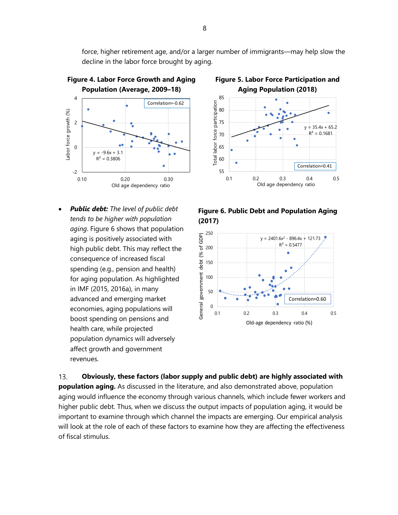force, higher retirement age, and/or a larger number of immigrants—may help slow the decline in the labor force brought by aging.

> 55 60 65



• *Public debt: The level of public debt tends to be higher with population aging*. Figure 6 shows that population aging is positively associated with high public debt. This may reflect the consequence of increased fiscal spending (e.g., pension and health) for aging population. As highlighted in IMF (2015, 2016a), in many advanced and emerging market economies, aging populations will boost spending on pensions and health care, while projected population dynamics will adversely affect growth and government revenues.



0.1 0.2 0.3 0.4 0.5 Old age dependency ratio

Correlation=0.41





 $13.$ **Obviously, these factors (labor supply and public debt) are highly associated with population aging.** As discussed in the literature, and also demonstrated above, population aging would influence the economy through various channels, which include fewer workers and higher public debt. Thus, when we discuss the output impacts of population aging, it would be important to examine through which channel the impacts are emerging. Our empirical analysis will look at the role of each of these factors to examine how they are affecting the effectiveness of fiscal stimulus.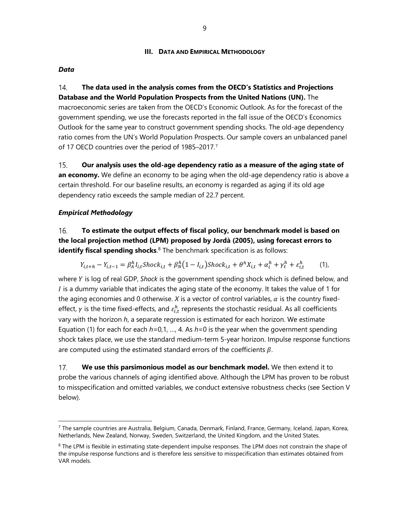#### **III. DATA AND EMPIRICAL METHODOLOGY**

#### *Data*

 $14<sub>1</sub>$ **The data used in the analysis comes from the OECD's Statistics and Projections Database and the World Population Prospects from the United Nations (UN).** The macroeconomic series are taken from the OECD's Economic Outlook. As for the forecast of the government spending, we use the forecasts reported in the fall issue of the OECD's Economics Outlook for the same year to construct government spending shocks. The old-age dependency ratio comes from the UN's World Population Prospects. Our sample covers an unbalanced panel of 1[7](#page-8-0) OECD countries over the period of 1985-2017.<sup>7</sup>

 $15.$ **Our analysis uses the old-age dependency ratio as a measure of the aging state of an economy.** We define an economy to be aging when the old-age dependency ratio is above a certain threshold. For our baseline results, an economy is regarded as aging if its old age dependency ratio exceeds the sample median of 22.7 percent.

#### *Empirical Methodology*

**To estimate the output effects of fiscal policy, our benchmark model is based on**  16. **the local projection method (LPM) proposed by Jordà (2005), using forecast errors to identify fiscal spending shocks**. [8](#page-8-1) The benchmark specification is as follows:

$$
Y_{i,t+h} - Y_{i,t-1} = \beta_A^h I_{i,t} \text{Shock}_{i,t} + \beta_N^h (1 - I_{i,t}) \text{Shock}_{i,t} + \theta^h X_{i,t} + \alpha_i^h + \gamma_t^h + \varepsilon_{i,t}^h \tag{1}
$$

where Y is log of real GDP, Shock is the government spending shock which is defined below, and I is a dummy variable that indicates the aging state of the economy. It takes the value of 1 for the aging economies and 0 otherwise.  $X$  is a vector of control variables,  $\alpha$  is the country fixedeffect,  $\gamma$  is the time fixed-effects, and  $\varepsilon_{i,t}^h$  represents the stochastic residual. As all coefficients vary with the horizon *h*, a separate regression is estimated for each horizon. We estimate Equation (1) for each for each *h=*0,1, …, 4. As *h*=0 is the year when the government spending shock takes place, we use the standard medium-term 5-year horizon. Impulse response functions are computed using the estimated standard errors of the coefficients  $\beta$ .

 $17.$ **We use this parsimonious model as our benchmark model.** We then extend it to probe the various channels of aging identified above. Although the LPM has proven to be robust to misspecification and omitted variables, we conduct extensive robustness checks (see Section V below).

<span id="page-8-0"></span><sup>7</sup> The sample countries are Australia, Belgium, Canada, Denmark, Finland, France, Germany, Iceland, Japan, Korea, Netherlands, New Zealand, Norway, Sweden, Switzerland, the United Kingdom, and the United States.

<span id="page-8-1"></span><sup>&</sup>lt;sup>8</sup> The LPM is flexible in estimating state-dependent impulse responses. The LPM does not constrain the shape of the impulse response functions and is therefore less sensitive to misspecification than estimates obtained from VAR models.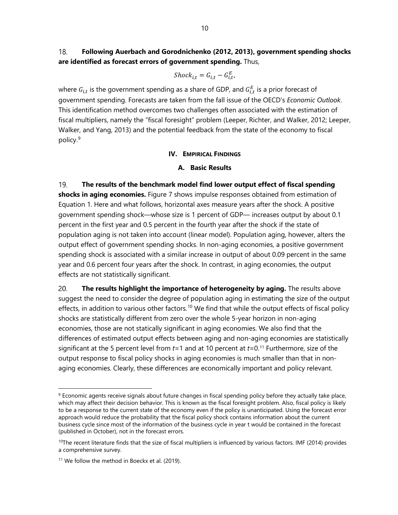#### 18. **Following Auerbach and Gorodnichenko (2012, 2013), government spending shocks are identified as forecast errors of government spending.** Thus,

$$
Shock_{i,t} = G_{i,t} - G_{i,t}^E,
$$

where  $G_{i,t}$  is the government spending as a share of GDP, and  $G_{i,t}^E$  is a prior forecast of government spending. Forecasts are taken from the fall issue of the OECD's *Economic Outlook*. This identification method overcomes two challenges often associated with the estimation of fiscal multipliers, namely the "fiscal foresight" problem (Leeper, Richter, and Walker, 2012; Leeper, Walker, and Yang, 2013) and the potential feedback from the state of the economy to fiscal policy.[9](#page-9-0)

#### **IV. EMPIRICAL FINDINGS**

## **A. Basic Results**

19. **The results of the benchmark model find lower output effect of fiscal spending shocks in aging economies.** Figure 7 shows impulse responses obtained from estimation of Equation 1. Here and what follows, horizontal axes measure years after the shock. A positive government spending shock—whose size is 1 percent of GDP— increases output by about 0.1 percent in the first year and 0.5 percent in the fourth year after the shock if the state of population aging is not taken into account (linear model). Population aging, however, alters the output effect of government spending shocks. In non-aging economies, a positive government spending shock is associated with a similar increase in output of about 0.09 percent in the same year and 0.6 percent four years after the shock. In contrast, in aging economies, the output effects are not statistically significant.

20. **The results highlight the importance of heterogeneity by aging.** The results above suggest the need to consider the degree of population aging in estimating the size of the output effects, in addition to various other factors.<sup>[10](#page-9-1)</sup> We find that while the output effects of fiscal policy shocks are statistically different from zero over the whole 5-year horizon in non-aging economies, those are not statically significant in aging economies. We also find that the differences of estimated output effects between aging and non-aging economies are statistically significant at the 5 percent level from *t*=1 and at 10 percent at *t*=0.[11](#page-9-2) Furthermore, size of the output response to fiscal policy shocks in aging economies is much smaller than that in nonaging economies. Clearly, these differences are economically important and policy relevant.

<span id="page-9-0"></span> $9$  Economic agents receive signals about future changes in fiscal spending policy before they actually take place, which may affect their decision behavior. This is known as the fiscal foresight problem. Also, fiscal policy is likely to be a response to the current state of the economy even if the policy is unanticipated. Using the forecast error approach would reduce the probability that the fiscal policy shock contains information about the current business cycle since most of the information of the business cycle in year t would be contained in the forecast (published in October), not in the forecast errors.

<span id="page-9-1"></span> $10$ The recent literature finds that the size of fiscal multipliers is influenced by various factors. IMF (2014) provides a comprehensive survey.

<span id="page-9-2"></span><sup>&</sup>lt;sup>11</sup> We follow the method in Boeckx et al. (2019).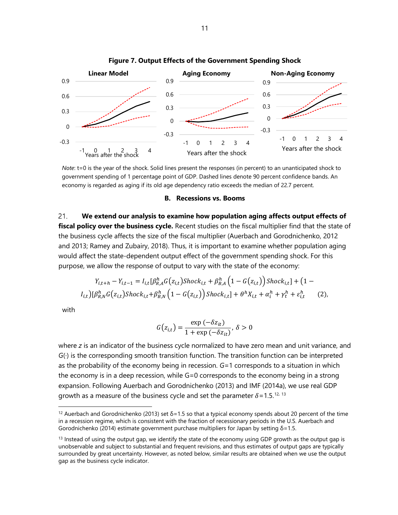

**Figure 7. Output Effects of the Government Spending Shock**

*Note*: t=0 is the year of the shock. Solid lines present the responses (in percent) to an unanticipated shock to government spending of 1 percentage point of GDP. Dashed lines denote 90 percent confidence bands. An economy is regarded as aging if its old age dependency ratio exceeds the median of 22.7 percent.

#### **B. Recessions vs. Booms**

 $21.$ **We extend our analysis to examine how population aging affects output effects of fiscal policy over the business cycle.** Recent studies on the fiscal multiplier find that the state of the business cycle affects the size of the fiscal multiplier (Auerbach and Gorodnichenko, 2012 and 2013; Ramey and Zubairy, 2018). Thus, it is important to examine whether population aging would affect the state-dependent output effect of the government spending shock. For this purpose, we allow the response of output to vary with the state of the economy:

$$
Y_{i,t+h} - Y_{i,t-1} = I_{i,t} \left[ \beta_{R,A}^h G(z_{i,t}) \text{Shock}_{i,t} + \beta_{B,A}^h \left( 1 - G(z_{i,t}) \right) \text{Shock}_{i,t} \right] + \left( 1 - I_{i,t} \right) \left[ \beta_{R,N}^h G(z_{i,t}) \text{Shock}_{i,t} + \beta_{B,N}^h \left( 1 - G(z_{i,t}) \right) \text{Shock}_{i,t} \right] + \theta^h X_{i,t} + \alpha_i^h + \gamma_t^h + \varepsilon_{i,t}^h \tag{2},
$$

with

$$
G(z_{i,t}) = \frac{\exp(-\delta z_{it})}{1 + \exp(-\delta z_{it})}, \delta > 0
$$

where *z* is an indicator of the business cycle normalized to have zero mean and unit variance, and *G*(∙) is the corresponding smooth transition function. The transition function can be interpreted as the probability of the economy being in recession. *G*=1 corresponds to a situation in which the economy is in a deep recession, while G=0 corresponds to the economy being in a strong expansion. Following Auerbach and Gorodnichenko (2013) and IMF (2014a), we use real GDP growth as a measure of the business cycle and set the parameter  $\delta$ =1.5.<sup>[12](#page-10-0), [13](#page-10-1)</sup>

<span id="page-10-0"></span><sup>&</sup>lt;sup>12</sup> Auerbach and Gorodnichenko (2013) set  $\delta$ =1.5 so that a typical economy spends about 20 percent of the time in a recession regime, which is consistent with the fraction of recessionary periods in the U.S. Auerbach and Gorodnichenko (2014) estimate government purchase multipliers for Japan by setting  $\delta$ =1.5.

<span id="page-10-1"></span> $<sup>13</sup>$  Instead of using the output gap, we identify the state of the economy using GDP growth as the output gap is</sup> unobservable and subject to substantial and frequent revisions, and thus estimates of output gaps are typically surrounded by great uncertainty. However, as noted below, similar results are obtained when we use the output gap as the business cycle indicator.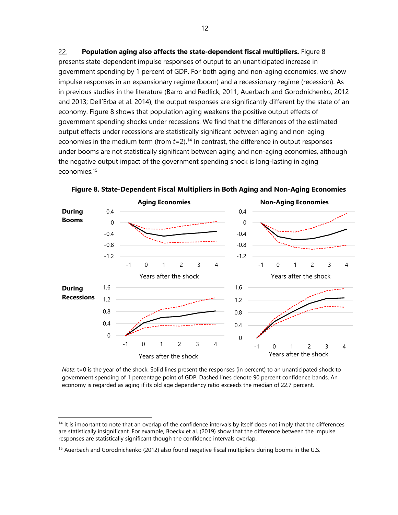22. **Population aging also affects the state-dependent fiscal multipliers.** Figure 8 presents state-dependent impulse responses of output to an unanticipated increase in government spending by 1 percent of GDP. For both aging and non-aging economies, we show impulse responses in an expansionary regime (boom) and a recessionary regime (recession). As in previous studies in the literature (Barro and Redlick, 2011; Auerbach and Gorodnichenko, 2012 and 2013; Dell'Erba et al. 2014), the output responses are significantly different by the state of an economy. Figure 8 shows that population aging weakens the positive output effects of government spending shocks under recessions. We find that the differences of the estimated output effects under recessions are statistically significant between aging and non-aging economies in the medium term (from *t*=2).<sup>14</sup> In contrast, the difference in output responses under booms are not statistically significant between aging and non-aging economies, although the negative output impact of the government spending shock is long-lasting in aging economies. [15](#page-11-1) 



**Figure 8. State-Dependent Fiscal Multipliers in Both Aging and Non-Aging Economies**

*Note*: t=0 is the year of the shock. Solid lines present the responses (in percent) to an unanticipated shock to government spending of 1 percentage point of GDP. Dashed lines denote 90 percent confidence bands. An economy is regarded as aging if its old age dependency ratio exceeds the median of 22.7 percent.

<span id="page-11-0"></span> $14$  It is important to note that an overlap of the confidence intervals by itself does not imply that the differences are statistically insignificant. For example, Boeckx et al. (2019) show that the difference between the impulse responses are statistically significant though the confidence intervals overlap.

<span id="page-11-1"></span><sup>&</sup>lt;sup>15</sup> Auerbach and Gorodnichenko (2012) also found negative fiscal multipliers during booms in the U.S.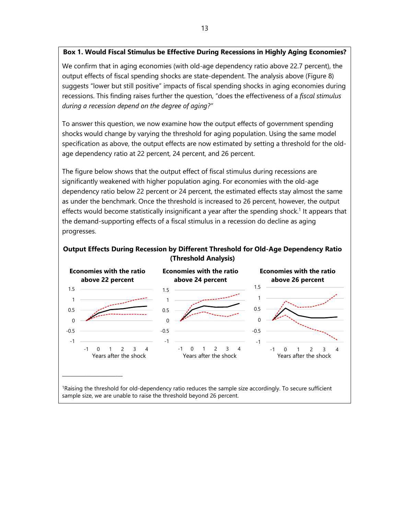## **Box 1. Would Fiscal Stimulus be Effective During Recessions in Highly Aging Economies?**

We confirm that in aging economies (with old-age dependency ratio above 22.7 percent), the output effects of fiscal spending shocks are state-dependent. The analysis above (Figure 8) suggests "lower but still positive" impacts of fiscal spending shocks in aging economies during recessions. This finding raises further the question, "does the effectiveness of a *fiscal stimulus during a recession depend on the degree of aging?"*

To answer this question, we now examine how the output effects of government spending shocks would change by varying the threshold for aging population. Using the same model specification as above, the output effects are now estimated by setting a threshold for the oldage dependency ratio at 22 percent, 24 percent, and 26 percent.

The figure below shows that the output effect of fiscal stimulus during recessions are significantly weakened with higher population aging. For economies with the old-age dependency ratio below 22 percent or 24 percent, the estimated effects stay almost the same as under the benchmark. Once the threshold is increased to 26 percent, however, the output effects would become statistically insignificant a year after the spending shock.<sup>1</sup> It appears that the demand-supporting effects of a fiscal stimulus in a recession do decline as aging progresses.

## **Output Effects During Recession by Different Threshold for Old-Age Dependency Ratio (Threshold Analysis)**



1Raising the threshold for old-dependency ratio reduces the sample size accordingly. To secure sufficient sample size, we are unable to raise the threshold beyond 26 percent.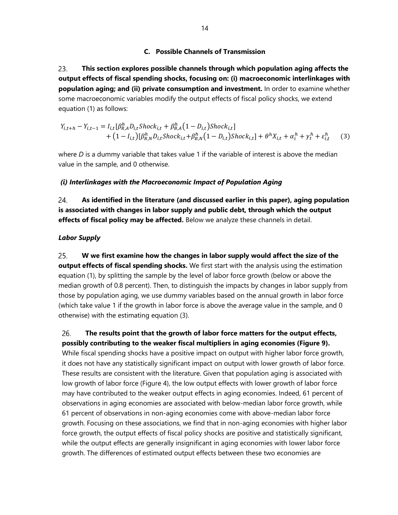# **C. Possible Channels of Transmission**

23. **This section explores possible channels through which population aging affects the output effects of fiscal spending shocks, focusing on: (i) macroeconomic interlinkages with population aging; and (ii) private consumption and investment.** In order to examine whether some macroeconomic variables modify the output effects of fiscal policy shocks, we extend equation (1) as follows:

$$
Y_{i,t+h} - Y_{i,t-1} = I_{i,t} [\beta_{R,A}^h D_{i,t}^{\dagger} \text{Shock}_{i,t} + \beta_{B,A}^h (1 - D_{i,t}) \text{Shock}_{i,t}] + (1 - I_{i,t}) [\beta_{R,N}^h D_{i,t}^{\dagger} \text{Shock}_{i,t} + \beta_{B,N}^h (1 - D_{i,t}) \text{Shock}_{i,t}] + \theta^h X_{i,t} + \alpha_i^h + \gamma_t^h + \varepsilon_{i,t}^h
$$
 (3)

where *D* is a dummy variable that takes value 1 if the variable of interest is above the median value in the sample, and 0 otherwise.

# *(i) Interlinkages with the Macroeconomic Impact of Population Aging*

24. **As identified in the literature (and discussed earlier in this paper), aging population is associated with changes in labor supply and public debt, through which the output effects of fiscal policy may be affected.** Below we analyze these channels in detail.

# *Labor Supply*

25. **W we first examine how the changes in labor supply would affect the size of the output effects of fiscal spending shocks.** We first start with the analysis using the estimation equation (1), by splitting the sample by the level of labor force growth (below or above the median growth of 0.8 percent). Then, to distinguish the impacts by changes in labor supply from those by population aging, we use dummy variables based on the annual growth in labor force (which take value 1 if the growth in labor force is above the average value in the sample, and 0 otherwise) with the estimating equation (3).

26. **The results point that the growth of labor force matters for the output effects, possibly contributing to the weaker fiscal multipliers in aging economies (Figure 9).**  While fiscal spending shocks have a positive impact on output with higher labor force growth, it does not have any statistically significant impact on output with lower growth of labor force. These results are consistent with the literature. Given that population aging is associated with low growth of labor force (Figure 4), the low output effects with lower growth of labor force may have contributed to the weaker output effects in aging economies. Indeed, 61 percent of observations in aging economies are associated with below-median labor force growth, while 61 percent of observations in non-aging economies come with above-median labor force growth. Focusing on these associations, we find that in non-aging economies with higher labor force growth, the output effects of fiscal policy shocks are positive and statistically significant, while the output effects are generally insignificant in aging economies with lower labor force growth. The differences of estimated output effects between these two economies are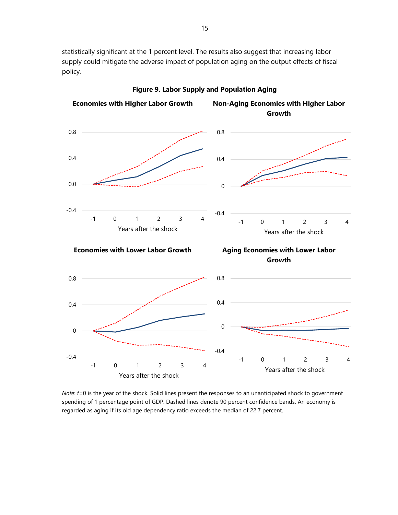statistically significant at the 1 percent level. The results also suggest that increasing labor supply could mitigate the adverse impact of population aging on the output effects of fiscal policy*.*



**Figure 9. Labor Supply and Population Aging**

*Note*: *t*=0 is the year of the shock. Solid lines present the responses to an unanticipated shock to government spending of 1 percentage point of GDP. Dashed lines denote 90 percent confidence bands. An economy is regarded as aging if its old age dependency ratio exceeds the median of 22.7 percent.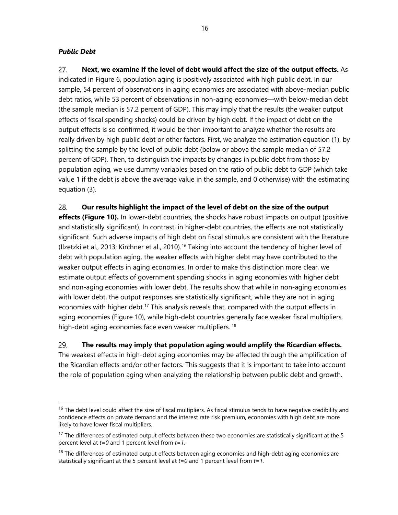# *Public Debt*

27. **Next, we examine if the level of debt would affect the size of the output effects.** As indicated in Figure 6, population aging is positively associated with high public debt. In our sample, 54 percent of observations in aging economies are associated with above-median public debt ratios, while 53 percent of observations in non-aging economies––with below-median debt (the sample median is 57.2 percent of GDP). This may imply that the results (the weaker output effects of fiscal spending shocks) could be driven by high debt. If the impact of debt on the output effects is so confirmed, it would be then important to analyze whether the results are really driven by high public debt or other factors. First, we analyze the estimation equation (1), by splitting the sample by the level of public debt (below or above the sample median of 57.2 percent of GDP). Then, to distinguish the impacts by changes in public debt from those by population aging, we use dummy variables based on the ratio of public debt to GDP (which take value 1 if the debt is above the average value in the sample, and 0 otherwise) with the estimating equation (3).

**Our results highlight the impact of the level of debt on the size of the output**  28.

**effects (Figure 10).** In lower-debt countries, the shocks have robust impacts on output (positive and statistically significant). In contrast, in higher-debt countries, the effects are not statistically significant. Such adverse impacts of high debt on fiscal stimulus are consistent with the literature (Ilzetzki et al., 2013; Kirchner et al., 2010).[16](#page-15-0) Taking into account the tendency of higher level of debt with population aging, the weaker effects with higher debt may have contributed to the weaker output effects in aging economies. In order to make this distinction more clear, we estimate output effects of government spending shocks in aging economies with higher debt and non-aging economies with lower debt. The results show that while in non-aging economies with lower debt, the output responses are statistically significant, while they are not in aging economies with higher debt.<sup>[17](#page-15-1)</sup> This analysis reveals that, compared with the output effects in aging economies (Figure 10), while high-debt countries generally face weaker fiscal multipliers, high-debt aging economies face even weaker multipliers.<sup>[18](#page-15-2)</sup>

#### 29. **The results may imply that population aging would amplify the Ricardian effects.**

The weakest effects in high-debt aging economies may be affected through the amplification of the Ricardian effects and/or other factors. This suggests that it is important to take into account the role of population aging when analyzing the relationship between public debt and growth.

<span id="page-15-0"></span><sup>&</sup>lt;sup>16</sup> The debt level could affect the size of fiscal multipliers. As fiscal stimulus tends to have negative credibility and confidence effects on private demand and the interest rate risk premium, economies with high debt are more likely to have lower fiscal multipliers.

<span id="page-15-1"></span><sup>&</sup>lt;sup>17</sup> The differences of estimated output effects between these two economies are statistically significant at the 5 percent level at *t=0* and 1 percent level from *t=1*.

<span id="page-15-2"></span> $18$  The differences of estimated output effects between aging economies and high-debt aging economies are statistically significant at the 5 percent level at *t=0* and 1 percent level from *t=1*.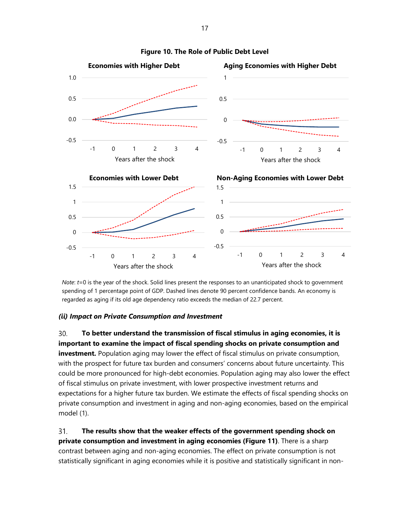

#### **Figure 10. The Role of Public Debt Level**

*Note*: *t*=0 is the year of the shock. Solid lines present the responses to an unanticipated shock to government spending of 1 percentage point of GDP. Dashed lines denote 90 percent confidence bands. An economy is regarded as aging if its old age dependency ratio exceeds the median of 22.7 percent.

#### *(ii) Impact on Private Consumption and Investment*

**To better understand the transmission of fiscal stimulus in aging economies, it is**  30. **important to examine the impact of fiscal spending shocks on private consumption and investment.** Population aging may lower the effect of fiscal stimulus on private consumption, with the prospect for future tax burden and consumers' concerns about future uncertainty. This could be more pronounced for high-debt economies. Population aging may also lower the effect of fiscal stimulus on private investment, with lower prospective investment returns and expectations for a higher future tax burden. We estimate the effects of fiscal spending shocks on private consumption and investment in aging and non-aging economies, based on the empirical model (1).

31. **The results show that the weaker effects of the government spending shock on private consumption and investment in aging economies (Figure 11)**. There is a sharp contrast between aging and non-aging economies. The effect on private consumption is not statistically significant in aging economies while it is positive and statistically significant in non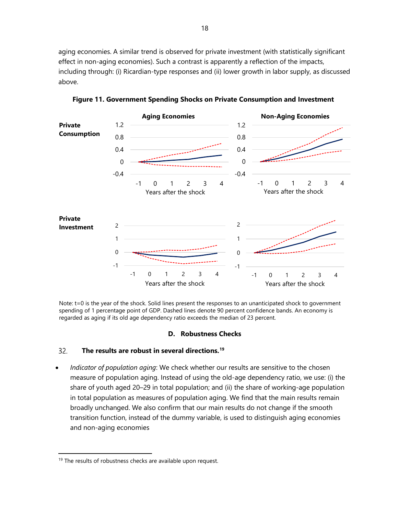aging economies. A similar trend is observed for private investment (with statistically significant effect in non-aging economies). Such a contrast is apparently a reflection of the impacts, including through: (i) Ricardian-type responses and (ii) lower growth in labor supply, as discussed above.



**Figure 11. Government Spending Shocks on Private Consumption and Investment**

Note: t=0 is the year of the shock. Solid lines present the responses to an unanticipated shock to government spending of 1 percentage point of GDP. Dashed lines denote 90 percent confidence bands. An economy is regarded as aging if its old age dependency ratio exceeds the median of 23 percent.

#### **D. Robustness Checks**

#### 32. **The results are robust in several directions. [19](#page-17-0)**

• *Indicator of population aging*: We check whether our results are sensitive to the chosen measure of population aging. Instead of using the old-age dependency ratio, we use: (i) the share of youth aged 20–29 in total population; and (ii) the share of working-age population in total population as measures of population aging. We find that the main results remain broadly unchanged. We also confirm that our main results do not change if the smooth transition function, instead of the dummy variable, is used to distinguish aging economies and non-aging economies

<span id="page-17-0"></span><sup>&</sup>lt;sup>19</sup> The results of robustness checks are available upon request.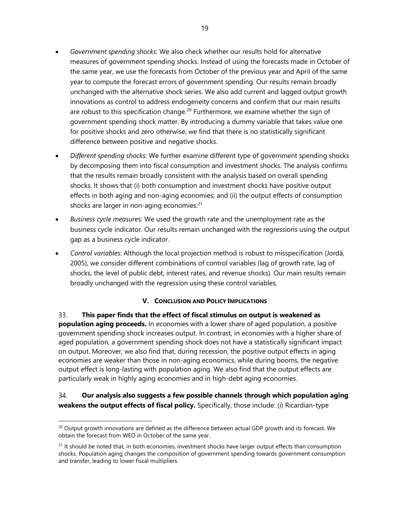- *Government spending shocks*: We also check whether our results hold for alternative measures of government spending shocks. Instead of using the forecasts made in October of the same year, we use the forecasts from October of the previous year and April of the same year to compute the forecast errors of government spending. Our results remain broadly unchanged with the alternative shock series. We also add current and lagged output growth innovations as control to address endogeneity concerns and confirm that our main results are robust to this specification change.<sup>[20](#page-18-0)</sup> Furthermore, we examine whether the sign of government spending shock matter. By introducing a dummy variable that takes value one for positive shocks and zero otherwise, we find that there is no statistically significant difference between positive and negative shocks.
- *Different spending shocks*: We further examine different type of government spending shocks by decomposing them into fiscal consumption and investment shocks. The analysis confirms that the results remain broadly consistent with the analysis based on overall spending shocks. It shows that (i) both consumption and investment shocks have positive output effects in both aging and non-aging economies; and (ii) the output effects of consumption shocks are larger in non-aging economies. $21$
- *Business cycle measure*s: We used the growth rate and the unemployment rate as the business cycle indicator. Our results remain unchanged with the regressions using the output gap as a business cycle indicator.
- *Control variables*: Although the local projection method is robust to misspecification (Jordà, 2005), we consider different combinations of control variables (lag of growth rate, lag of shocks, the level of public debt, interest rates, and revenue shocks). Our main results remain broadly unchanged with the regression using these control variables.

# **V. CONCLUSION AND POLICY IMPLICATIONS**

33. **This paper finds that the effect of fiscal stimulus on output is weakened as population aging proceeds.** In economies with a lower share of aged population, a positive government spending shock increases output. In contrast, in economies with a higher share of aged population, a government spending shock does not have a statistically significant impact on output. Moreover, we also find that, during recession, the positive output effects in aging economies are weaker than those in non-aging economics, while during booms, the negative output effect is long-lasting with population aging. We also find that the output effects are particularly weak in highly aging economies and in high-debt aging economies.

#### 34. **Our analysis also suggests a few possible channels through which population aging weakens the output effects of fiscal policy.** Specifically, those include: (i) Ricardian-type

<span id="page-18-0"></span> $^{20}$  Output growth innovations are defined as the difference between actual GDP growth and its forecast. We obtain the forecast from WEO in October of the same year.

<span id="page-18-1"></span> $21$  It should be noted that, in both economies, investment shocks have larger output effects than consumption shocks. Population aging changes the composition of government spending towards government consumption and transfer, leading to lower fiscal multipliers.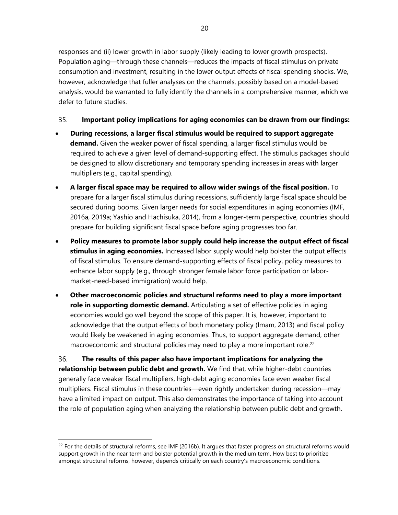responses and (ii) lower growth in labor supply (likely leading to lower growth prospects). Population aging—through these channels—reduces the impacts of fiscal stimulus on private consumption and investment, resulting in the lower output effects of fiscal spending shocks. We, however, acknowledge that fuller analyses on the channels, possibly based on a model-based analysis, would be warranted to fully identify the channels in a comprehensive manner, which we defer to future studies.

#### 35. **Important policy implications for aging economies can be drawn from our findings:**

- **During recessions, a larger fiscal stimulus would be required to support aggregate demand.** Given the weaker power of fiscal spending, a larger fiscal stimulus would be required to achieve a given level of demand-supporting effect. The stimulus packages should be designed to allow discretionary and temporary spending increases in areas with larger multipliers (e.g., capital spending).
- **A larger fiscal space may be required to allow wider swings of the fiscal position.** To prepare for a larger fiscal stimulus during recessions, sufficiently large fiscal space should be secured during booms. Given larger needs for social expenditures in aging economies (IMF, 2016a, 2019a; Yashio and Hachisuka, 2014), from a longer-term perspective, countries should prepare for building significant fiscal space before aging progresses too far.
- **Policy measures to promote labor supply could help increase the output effect of fiscal stimulus in aging economies.** Increased labor supply would help bolster the output effects of fiscal stimulus. To ensure demand-supporting effects of fiscal policy, policy measures to enhance labor supply (e.g., through stronger female labor force participation or labormarket-need-based immigration) would help.
- **Other macroeconomic policies and structural reforms need to play a more important role in supporting domestic demand.** Articulating a set of effective policies in aging economies would go well beyond the scope of this paper. It is, however, important to acknowledge that the output effects of both monetary policy (Imam, 2013) and fiscal policy would likely be weakened in aging economies. Thus, to support aggregate demand, other macroeconomic and structural policies may need to play a more important role.<sup>[22](#page-19-0)</sup>

36. **The results of this paper also have important implications for analyzing the relationship between public debt and growth.** We find that, while higher-debt countries generally face weaker fiscal multipliers, high-debt aging economies face even weaker fiscal multipliers. Fiscal stimulus in these countries—even rightly undertaken during recession—may have a limited impact on output. This also demonstrates the importance of taking into account the role of population aging when analyzing the relationship between public debt and growth.

<span id="page-19-0"></span> $^{22}$  For the details of structural reforms, see IMF (2016b). It argues that faster progress on structural reforms would support growth in the near term and bolster potential growth in the medium term. How best to prioritize amongst structural reforms, however, depends critically on each country's macroeconomic conditions.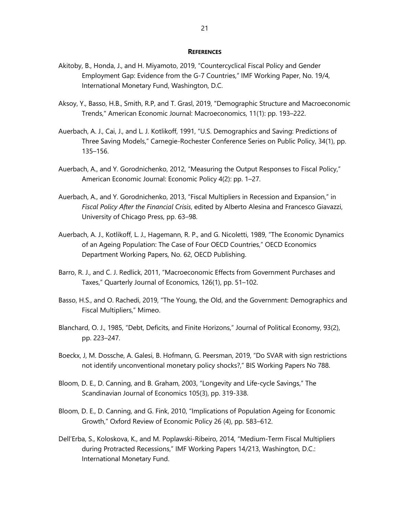#### **REFERENCES**

- Akitoby, B., Honda, J., and H. Miyamoto, 2019, "Countercyclical Fiscal Policy and Gender Employment Gap: Evidence from the G-7 Countries," IMF Working Paper, No. 19/4, International Monetary Fund, Washington, D.C.
- Aksoy, Y., Basso, H.B., Smith, R.P, and T. Grasl, 2019, "Demographic Structure and Macroeconomic Trends," American Economic Journal: Macroeconomics, 11(1): pp. 193–222.
- Auerbach, A. J., Cai, J., and L. J. Kotlikoff, 1991, "U.S. Demographics and Saving: Predictions of Three Saving Models," Carnegie-Rochester Conference Series on Public Policy, 34(1), pp. 135–156.
- Auerbach, A., and Y. Gorodnichenko, 2012, "Measuring the Output Responses to Fiscal Policy," American Economic Journal: Economic Policy 4(2): pp. 1–27.
- Auerbach, A., and Y. Gorodnichenko, 2013, "Fiscal Multipliers in Recession and Expansion," in *Fiscal Policy After the Financial Crisis*, edited by Alberto Alesina and Francesco Giavazzi, University of Chicago Press, pp. 63–98.
- Auerbach, A. J., Kotlikoff, L. J., Hagemann, R. P., and G. Nicoletti, 1989, "The Economic Dynamics of an Ageing Population: The Case of Four OECD Countries," OECD Economics Department Working Papers, No. 62, OECD Publishing.
- Barro, R. J., and C. J. Redlick, 2011, "Macroeconomic Effects from Government Purchases and Taxes," Quarterly Journal of Economics, 126(1), pp. 51–102.
- Basso, H.S., and O. Rachedi, 2019, "The Young, the Old, and the Government: Demographics and Fiscal Multipliers," Mimeo.
- Blanchard, O. J., 1985, "Debt, Deficits, and Finite Horizons," Journal of Political Economy, 93(2), pp. 223–247.
- Boeckx, J, M. Dossche, A. Galesi, B. Hofmann, G. Peersman, 2019, "Do SVAR with sign restrictions not identify unconventional monetary policy shocks?," BIS Working Papers No 788.
- Bloom, D. E., D. Canning, and B. Graham, 2003, "Longevity and Life-cycle Savings," The Scandinavian Journal of Economics 105(3), pp. 319-338.
- Bloom, D. E., D. Canning, and G. Fink, 2010, "Implications of Population Ageing for Economic Growth," Oxford Review of Economic Policy 26 (4), pp. 583–612.
- Dell'Erba, S., Koloskova, K., and M. Poplawski-Ribeiro, 2014, "Medium-Term Fiscal Multipliers during Protracted Recessions," IMF Working Papers 14/213, Washington, D.C.: International Monetary Fund.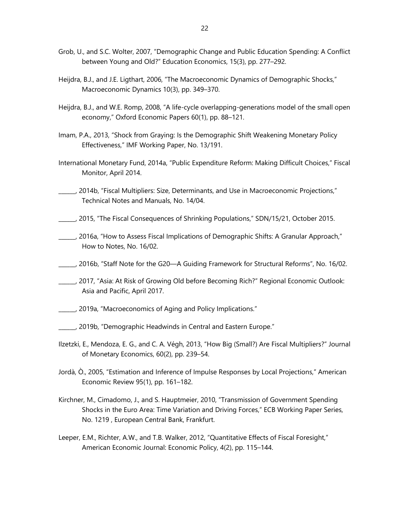- Grob, U., and S.C. Wolter, 2007, "Demographic Change and Public Education Spending: A Conflict between Young and Old?" Education Economics, 15(3), pp. 277–292.
- Heijdra, B.J., and J.E. Ligthart, 2006, "The Macroeconomic Dynamics of Demographic Shocks," Macroeconomic Dynamics 10(3), pp. 349–370.
- Heijdra, B.J., and W.E. Romp, 2008, "A life-cycle overlapping-generations model of the small open economy," Oxford Economic Papers 60(1), pp. 88–121.
- Imam, P.A., 2013, "Shock from Graying: Is the Demographic Shift Weakening Monetary Policy Effectiveness," IMF Working Paper, No. 13/191.
- International Monetary Fund, 2014a, "Public Expenditure Reform: Making Difficult Choices," Fiscal Monitor, April 2014.
- \_\_\_\_\_\_, 2014b, "Fiscal Multipliers: Size, Determinants, and Use in Macroeconomic Projections," Technical Notes and Manuals, No. 14/04.
- \_\_\_\_\_\_, 2015, "The Fiscal Consequences of Shrinking Populations," SDN/15/21, October 2015.
- \_\_\_\_\_\_, 2016a, "How to Assess Fiscal Implications of Demographic Shifts: A Granular Approach," How to Notes, No. 16/02.
- \_\_\_\_\_\_, 2016b, "Staff Note for the G20—A Guiding Framework for Structural Reforms", No. 16/02.
- \_\_\_\_\_\_, 2017, "Asia: At Risk of Growing Old before Becoming Rich?" Regional Economic Outlook: Asia and Pacific, April 2017.
- \_\_\_\_\_\_, 2019a, "Macroeconomics of Aging and Policy Implications."
- \_\_\_\_\_\_, 2019b, "Demographic Headwinds in Central and Eastern Europe."
- Ilzetzki, E., Mendoza, E. G., and C. A. Végh, 2013, "How Big (Small?) Are Fiscal Multipliers?" Journal of Monetary Economics, 60(2), pp. 239–54.
- Jordà, Ò., 2005, "Estimation and Inference of Impulse Responses by Local Projections," American Economic Review 95(1), pp. 161–182.
- Kirchner, M., Cimadomo, J., and S. Hauptmeier, 2010, "Transmission of Government Spending Shocks in the Euro Area: Time Variation and Driving Forces," ECB Working Paper Series, No. 1219 , European Central Bank, Frankfurt.
- Leeper, E.M., Richter, A.W., and T.B. Walker, 2012, "Quantitative Effects of Fiscal Foresight," American Economic Journal: Economic Policy, 4(2), pp. 115–144.